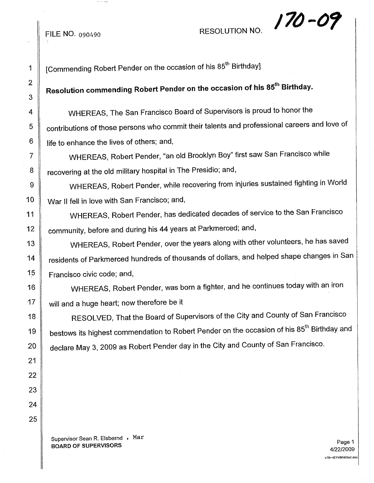## 170-09

1  $\parallel$  [Commending Robert Pender on the occasion of his 85<sup>th</sup> Birthday]

## **Resolution commending Robert Pender on the occasion of his** 85th **Birthday.**

WHEREAS, The San Francisco Board of Supervisors is proud to honor the contributions of those persons who commit their talents and professional careers and love of life to enhance the lives of others; and,

WHEREAS, Robert Pender, "an old Brooklyn Boy" first saw San Francisco while recovering at the old military hospital in The Presidio; and,

WHEREAS, Robert Pender, while recovering from injuries sustained fighting in World War II fell in love with San Francisco; and,

WHEREAS, Robert Pender, has dedicated decades of service to the San Francisco community, before and during his 44 years at Parkmerced; and,

WHEREAS, Robert Pender, over the years along with other volunteers, he has saved residents of Parkmerced hundreds of thousands of dollars, and helped shape changes in San Francisco civic code; and,

WHEREAS, Robert Pender, was born a fighter, and he continues today with an iron will and a huge heart; now therefore be it

RESOLVED, That the Board of Supervisors of the City and County of San Francisco bestows its highest commendation to Robert Pender on the occasion of his 85<sup>th</sup> Birthday and declare May 3, 2009 as Robert Pender day in the City and County of San Francisco.

Supervisor Sean R. Elsbernd , Max BOARD OF SUPERVISORS

Page 1 *4/22/2009* 0:\1.-421\090~90.0.doc

FILE NO. 090490 RESOLUTION NO.